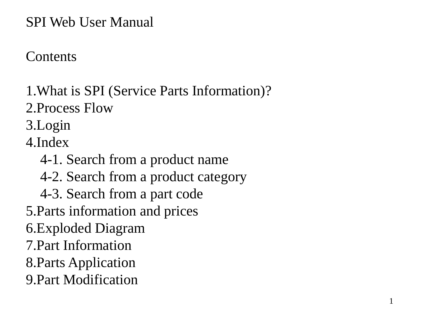### SPI Web User Manual

## **Contents**

- 1.What is SPI (Service Parts Information)?
- 2.Process Flow
- 3.Login
- 4.Index
	- 4-1. Search from a product name
	- 4-2. Search from a product category
	- 4-3. Search from a part code
- 5.Parts information and prices
- 6.Exploded Diagram
- 7.Part Information
- 8.Parts Application
- 9.Part Modification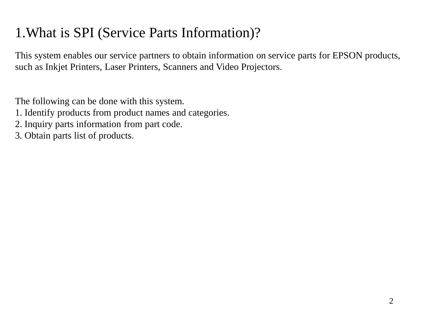# 1.What is SPI (Service Parts Information)?

This system enables our service partners to obtain information on service parts for EPSON products, such as Inkjet Printers, Laser Printers, Scanners and Video Projectors.

The following can be done with this system.

- 1. Identify products from product names and categories.
- 2. Inquiry parts information from part code.
- 3. Obtain parts list of products.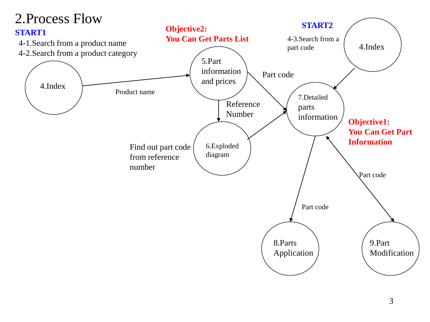### 2.Process Flow

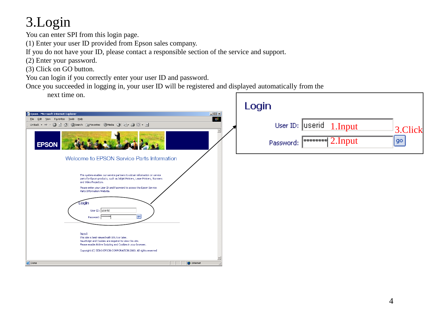# 3.Login

You can enter SPI from this login page.

(1) Enter your user ID provided from Epson sales company.

If you do not have your ID, please contact a responsible section of the service and support.

(2) Enter your password.

(3) Click on GO button.

You can login if you correctly enter your user ID and password.

Once you succeeded in logging in, your user ID will be registered and displayed automatically from the

next time on.

| next time on.                                                                                                                                                                                                                                                                                                                                                  |                             |
|----------------------------------------------------------------------------------------------------------------------------------------------------------------------------------------------------------------------------------------------------------------------------------------------------------------------------------------------------------------|-----------------------------|
|                                                                                                                                                                                                                                                                                                                                                                | Login                       |
| $\Box$<br>Epson - Microsoft Internet Explorer                                                                                                                                                                                                                                                                                                                  |                             |
| W.<br>File Edit<br>View Favorites Tools Help                                                                                                                                                                                                                                                                                                                   |                             |
| ◎ 2 4 3 QSearch 图Favorites ③Media ③ 2 马 3 回 - 目<br>← Back → →                                                                                                                                                                                                                                                                                                  | User ID: Userid 1.Input     |
| $\triangleq$<br><b>EPSON</b>                                                                                                                                                                                                                                                                                                                                   | 3.Click<br>go]<br>Password: |
| Welcome to EPSON Service Parts Information                                                                                                                                                                                                                                                                                                                     |                             |
| This system enables our service partners to obtain information on service<br>parts for Epson products, such as Inkjet Printers, Laser Printers, Scanners<br>and Video Projectors.<br>Please enter your User ID and Password to access the Epson Service<br>Parts Information Website.<br>Login<br>User ID: Userid<br>$\left  90 \right $<br>Password: FARAAAAA |                             |
| [Note]<br>This site is best viewed with IE5.5 or later.<br>JavaScript and Cookies are required to view this site.<br>Please enable Active Scripting and Cookies in your browser.<br>Copyright (C) SEIKO EPSON CORPORATION 2003. All rights reserved                                                                                                            |                             |
| <b>D</b> Internet<br><b>Done</b>                                                                                                                                                                                                                                                                                                                               |                             |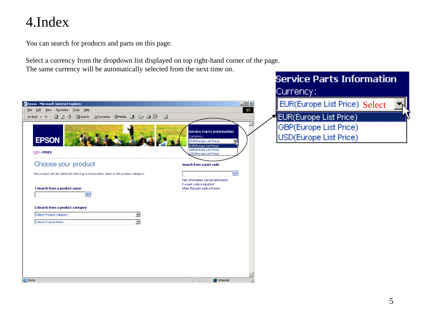## 4.Index

You can search for products and parts on this page.

Select a currency from the dropdown list displayed on top right-hand corner of the page.

The same currency will be automatically selected from the next time on.

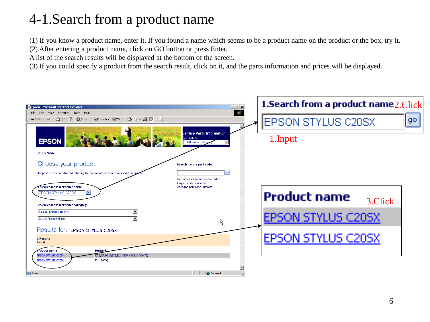# 4-1.Search from a product name

(1) If you know a product name, enter it. If you found a name which seems to be a product name on the product or the box, try it.

(2) After entering a product name, click on GO button or press Enter.

A list of the search results will be displayed at the bottom of the screen.

(3) If you could specify a product from the search result, click on it, and the parts information and prices will be displayed.

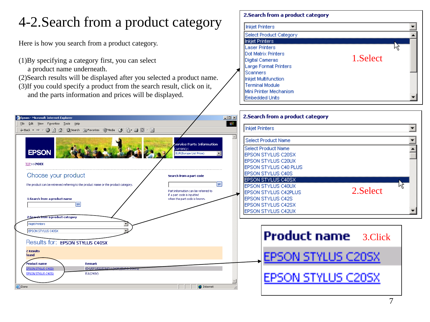# 4-2.Search from a product category

Here is how you search from a product category.

- (1)By specifying a category first, you can select
	- a product name underneath.
- (2)Search results will be displayed after you selected a product name.
- (3)If you could specify a product from the search result, click on it, and the parts information and prices will be displayed.

#### 2. Search from a product category

| <b>Inkiet Printers</b>       |          |  |
|------------------------------|----------|--|
| Select Product Category      |          |  |
| Inkjet Printers              |          |  |
| <b>Laser Printers</b>        |          |  |
| Dot Matrix Printers          |          |  |
| Digital Cameras              | 1.Select |  |
| <b>Large Format Printers</b> |          |  |
| <b>Scanners</b>              |          |  |
| <b>Inkjet Multifunction</b>  |          |  |
| <b>Terminal Module</b>       |          |  |
| Mini Printer Mechanism       |          |  |
| <b>Embedded Units</b>        |          |  |

| Epson - Microsoft Internet Explorer                                                                                                      | 2. Search from a product category<br>$-12x$                                                          |
|------------------------------------------------------------------------------------------------------------------------------------------|------------------------------------------------------------------------------------------------------|
| Edit View Favorites Tools Help                                                                                                           | 镇                                                                                                    |
| ←Back ▼ → ● ② ③ △   ③Search 图Favorites ④Media ③   邑 ● ◎ ▼ 国                                                                              | <b>Inkjet Printers</b>                                                                               |
|                                                                                                                                          | 스<br>Select Product Name<br>service Parts Information                                                |
| Currency:<br><b>EPSON</b><br>EUR(Europe List Price)                                                                                      | Select Product Name<br><b>IEPSON STYLUS C20SX</b>                                                    |
| TOP>>INDEX                                                                                                                               | <b>IEPSON STYLUS C20UX</b>                                                                           |
|                                                                                                                                          | <b>IEPSON STYLUS C40 PLUS</b>                                                                        |
| Choose your product<br>Search from a part code                                                                                           | <b>EPSON STYLUS C40S</b><br>EPSON STYLUS C40SX                                                       |
| The product can be retrieved referring to the product name or the product category.                                                      | go <br>M<br><b>IEPSON STYLUS C40UX</b>                                                               |
| Part information can be referred to<br>if a part code is inputted<br>1.Search from a product name<br>when the part code is known.<br> go | 2. Select<br><b>IEPSON STYLUS C42PLUS</b><br><b>IEPSON STYLUS C42S</b><br><b>IEPSON STYLUS C42SX</b> |
| 2. Search from a product category                                                                                                        | <b>IEPSON STYLUS C42UX</b>                                                                           |
| <b>Inkjet Printers</b>                                                                                                                   |                                                                                                      |
| EPSON STYLUS C40SX                                                                                                                       | <b>Product name</b> 3.Click                                                                          |
| Results for: EPSON STYLUS C40SX                                                                                                          |                                                                                                      |
| <b>2 Results</b><br>found                                                                                                                | EPSON STYLUS C20SX                                                                                   |
| <b>Product name</b><br>Remark                                                                                                            |                                                                                                      |
| EDG/EFS/EIS/EIB/FLIL(NOR) (EURO CONTT)<br>EPSON STYLUS C40SX<br>EPSON STYLUS C40SX<br>EUL(240V)                                          |                                                                                                      |
|                                                                                                                                          | EPSON STYLUS C20SX                                                                                   |
| <b>Done</b>                                                                                                                              | <b>D</b> Internet                                                                                    |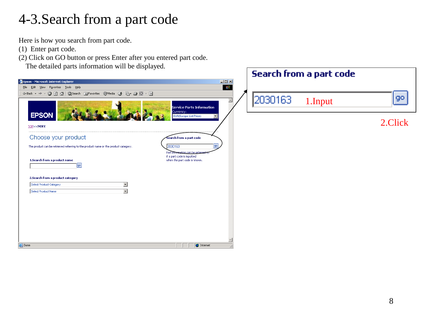## 4-3.Search from a part code

Here is how you search from part code.

- (1) Enter part code.
- (2) Click on GO button or press Enter after you entered part code.

The detailed parts information will be displayed.

| search from a part code                                                                                                                     |                 |
|---------------------------------------------------------------------------------------------------------------------------------------------|-----------------|
| $\Box$ D $\times$<br>Epson - Microsoft Internet Explorer                                                                                    |                 |
| 调<br>File Edit View Favorites Tools Help                                                                                                    |                 |
| ÷Back ▼ → ▼ ◎ ② △   ◎Search ③Favorites ④Media ③   23 → ③ 回 → 国                                                                              |                 |
| 2030163<br>1.Input<br>$\triangleq$<br><b>Service Parts Information</b><br>Currency:<br><b>EPSON</b><br>EUR(Europe List Price)               | 90 <sub>1</sub> |
| TOP>>INDEX                                                                                                                                  | 2.Click         |
| Choose your product<br>Search from a part code                                                                                              |                 |
| 2030163<br>lgo  <br>The product can be retrieved referring to the product name or the product category.<br>Part information can be referred |                 |
| if a part code is inputted<br>1.5earch from a product name<br>when the part code is known.<br> go                                           |                 |
| 2.Search from a product category<br>Select Product Category<br>ᅬ<br>Select Product Name<br>$\mathbf{F}$                                     |                 |
|                                                                                                                                             |                 |
|                                                                                                                                             |                 |
|                                                                                                                                             |                 |
|                                                                                                                                             |                 |
| <b>O</b> Internet<br><b>Done</b>                                                                                                            |                 |

**Controlled Control of the Controller**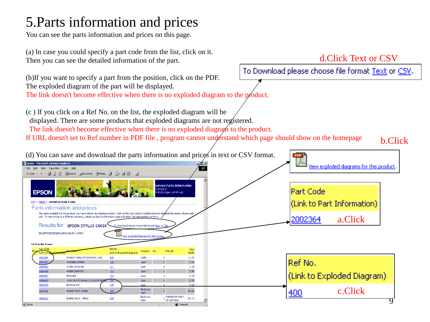# 5.Parts information and prices

You can see the parts information and prices on this page.

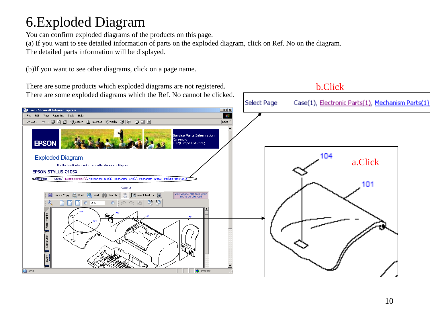# 6.Exploded Diagram

You can confirm exploded diagrams of the products on this page.

(a) If you want to see detailed information of parts on the exploded diagram, click on Ref. No on the diagram.

The detailed parts information will be displayed.

(b)If you want to see other diagrams, click on a page name.

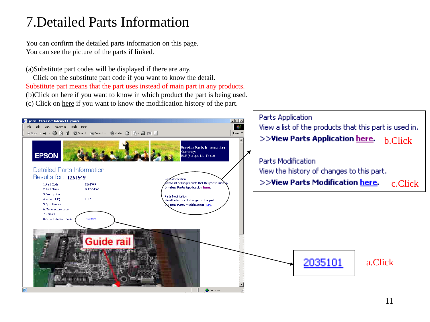### <span id="page-10-0"></span>7.Detailed Parts Information

You can confirm the detailed parts information on this page. You can see the picture of the parts if linked.

(a)Substitute part codes will be displayed if there are any.

Click on the substitute part code if you want to know the detail. Substitute part means that the part uses instead of main part in any products. (b)Click on here if you want to know in which product the part is being used. (c) Click on here if you want to know the modification history of the part.

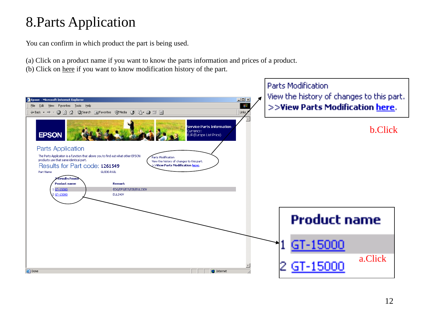# 8.Parts Application

You can confirm in which product the part is being used.

- (a) Click on a product name if you want to know the parts information and prices of a product.
- (b) Click on here if you want to know modification history of the part.